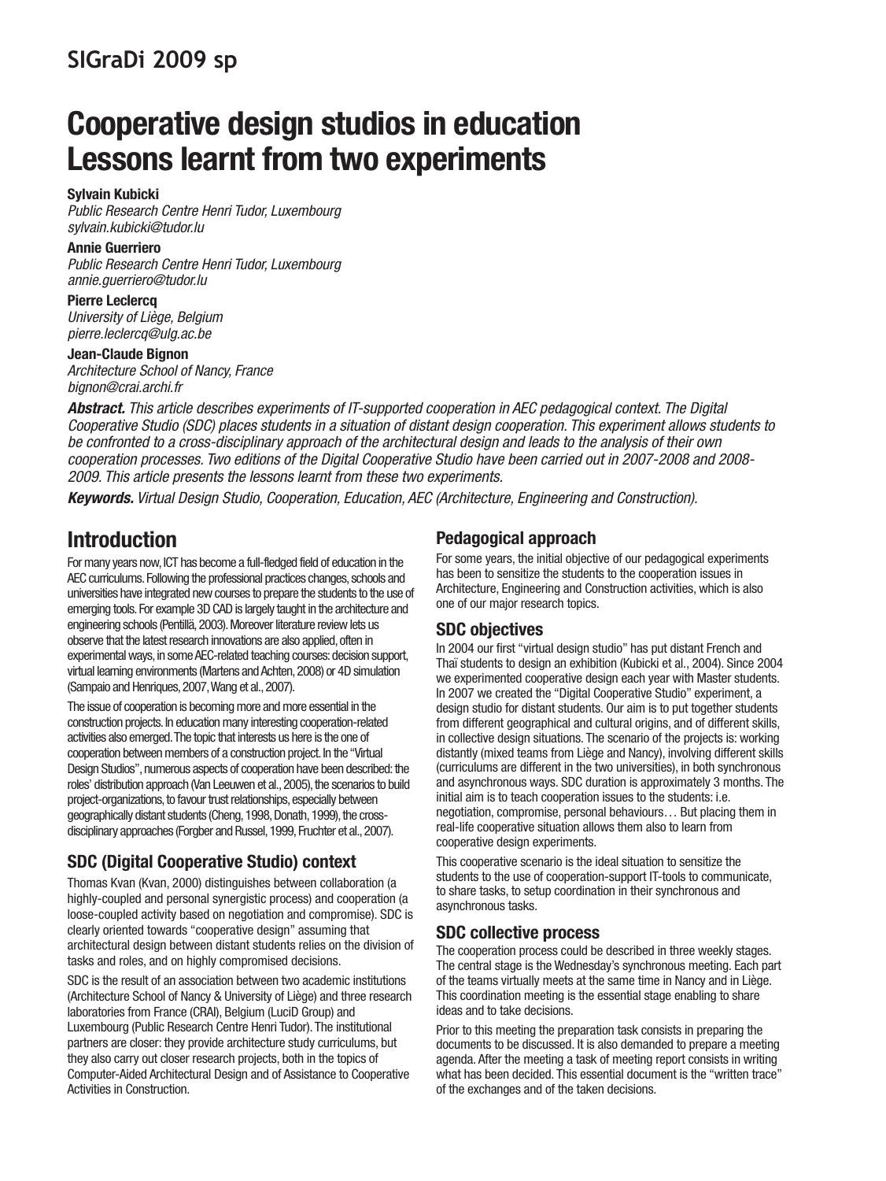# **Cooperative design studios in education Lessons learnt from two experiments**

#### **Sylvain Kubicki**

Public Research Centre Henri Tudor, Luxembourg sylvain.kubicki@tudor.lu

#### **Annie Guerriero**

Public Research Centre Henri Tudor, Luxembourg annie.guerriero@tudor.lu

**Pierre Leclercq** University of Liège, Belgium pierre.leclercq@ulg.ac.be

**Jean-Claude Bignon** Architecture School of Nancy, France bignon@crai.archi.fr

**Abstract.** This article describes experiments of IT-supported cooperation in AEC pedagogical context. The Digital Cooperative Studio (SDC) places students in a situation of distant design cooperation. This experiment allows students to be confronted to a cross-disciplinary approach of the architectural design and leads to the analysis of their own cooperation processes. Two editions of the Digital Cooperative Studio have been carried out in 2007-2008 and 2008- 2009. This article presents the lessons learnt from these two experiments.

**Keywords.** Virtual Design Studio, Cooperation, Education, AEC (Architecture, Engineering and Construction).

## **Introduction**

For many years now, ICT has become a full-fledged field of education in the AEC curriculums. Following the professional practices changes, schools and universities have integrated new courses to prepare the students to the use of emerging tools. For example 3D CAD is largely taught in the architecture and engineering schools (Pentillä, 2003). Moreover literature review lets us observe that the latest research innovations are also applied, often in experimental ways, in some AEC-related teaching courses: decision support, virtual learning environments (Martens and Achten, 2008) or 4D simulation (Sampaio and Henriques, 2007, Wang et al., 2007).

The issue of cooperation is becoming more and more essential in the construction projects. In education many interesting cooperation-related activities also emerged. The topic that interests us here is the one of cooperation between members of a construction project. In the "Virtual Design Studios", numerous aspects of cooperation have been described: the roles' distribution approach (Van Leeuwen et al., 2005), the scenarios to build project-organizations, to favour trust relationships, especially between geographically distant students (Cheng, 1998, Donath, 1999), the crossdisciplinary approaches (Forgber and Russel, 1999, Fruchter et al., 2007).

### **SDC (Digital Cooperative Studio) context**

Thomas Kvan (Kvan, 2000) distinguishes between collaboration (a highly-coupled and personal synergistic process) and cooperation (a loose-coupled activity based on negotiation and compromise). SDC is clearly oriented towards "cooperative design" assuming that architectural design between distant students relies on the division of tasks and roles, and on highly compromised decisions.

SDC is the result of an association between two academic institutions (Architecture School of Nancy & University of Liège) and three research laboratories from France (CRAI), Belgium (LuciD Group) and Luxembourg (Public Research Centre Henri Tudor). The institutional partners are closer: they provide architecture study curriculums, but they also carry out closer research projects, both in the topics of Computer-Aided Architectural Design and of Assistance to Cooperative Activities in Construction.

#### **Pedagogical approach**

For some years, the initial objective of our pedagogical experiments has been to sensitize the students to the cooperation issues in Architecture, Engineering and Construction activities, which is also one of our major research topics.

#### **SDC objectives**

In 2004 our first "virtual design studio" has put distant French and Thaï students to design an exhibition (Kubicki et al., 2004). Since 2004 we experimented cooperative design each year with Master students. In 2007 we created the "Digital Cooperative Studio" experiment, a design studio for distant students. Our aim is to put together students from different geographical and cultural origins, and of different skills, in collective design situations. The scenario of the projects is: working distantly (mixed teams from Liège and Nancy), involving different skills (curriculums are different in the two universities), in both synchronous and asynchronous ways. SDC duration is approximately 3 months. The initial aim is to teach cooperation issues to the students: i.e. negotiation, compromise, personal behaviours… But placing them in real-life cooperative situation allows them also to learn from cooperative design experiments.

This cooperative scenario is the ideal situation to sensitize the students to the use of cooperation-support IT-tools to communicate, to share tasks, to setup coordination in their synchronous and asynchronous tasks.

#### **SDC collective process**

The cooperation process could be described in three weekly stages. The central stage is the Wednesday's synchronous meeting. Each part of the teams virtually meets at the same time in Nancy and in Liège. This coordination meeting is the essential stage enabling to share ideas and to take decisions.

Prior to this meeting the preparation task consists in preparing the documents to be discussed. It is also demanded to prepare a meeting agenda. After the meeting a task of meeting report consists in writing what has been decided. This essential document is the "written trace" of the exchanges and of the taken decisions.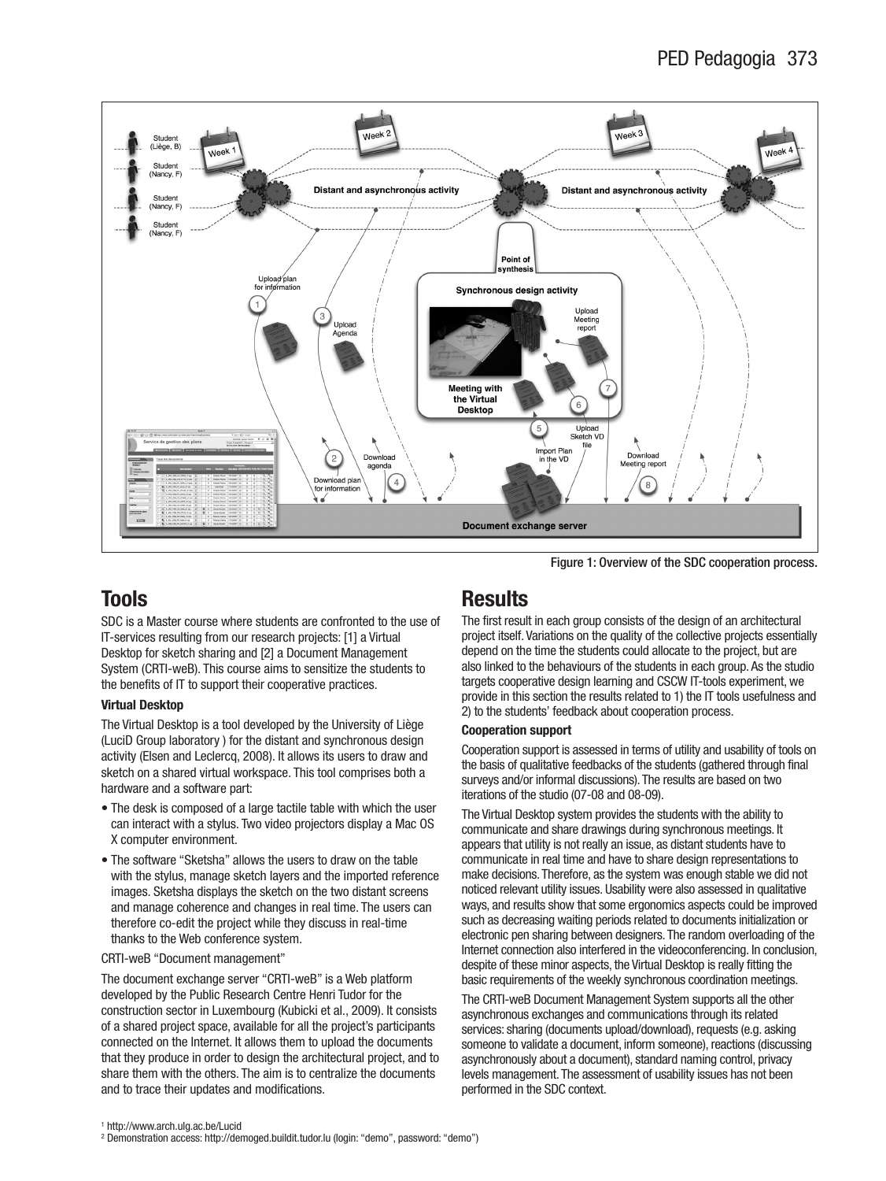

Figure 1: Overview of the SDC cooperation process.

## **Tools**

SDC is a Master course where students are confronted to the use of IT-services resulting from our research projects: [1] a Virtual Desktop for sketch sharing and [2] a Document Management System (CRTI-weB). This course aims to sensitize the students to the benefits of IT to support their cooperative practices.

#### **Virtual Desktop**

The Virtual Desktop is a tool developed by the University of Liège (LuciD Group laboratory ) for the distant and synchronous design activity (Elsen and Leclercq, 2008). It allows its users to draw and sketch on a shared virtual workspace. This tool comprises both a hardware and a software part:

- The desk is composed of a large tactile table with which the user can interact with a stylus. Two video projectors display a Mac OS X computer environment.
- The software "Sketsha" allows the users to draw on the table with the stylus, manage sketch layers and the imported reference images. Sketsha displays the sketch on the two distant screens and manage coherence and changes in real time. The users can therefore co-edit the project while they discuss in real-time thanks to the Web conference system.

#### CRTI-weB "Document management"

The document exchange server "CRTI-weB" is a Web platform developed by the Public Research Centre Henri Tudor for the construction sector in Luxembourg (Kubicki et al., 2009). It consists of a shared project space, available for all the project's participants connected on the Internet. It allows them to upload the documents that they produce in order to design the architectural project, and to share them with the others. The aim is to centralize the documents and to trace their updates and modifications.

## **Results**

The first result in each group consists of the design of an architectural project itself. Variations on the quality of the collective projects essentially depend on the time the students could allocate to the project, but are also linked to the behaviours of the students in each group. As the studio targets cooperative design learning and CSCW IT-tools experiment, we provide in this section the results related to 1) the IT tools usefulness and 2) to the students' feedback about cooperation process.

#### **Cooperation support**

Cooperation support is assessed in terms of utility and usability of tools on the basis of qualitative feedbacks of the students (gathered through final surveys and/or informal discussions). The results are based on two iterations of the studio (07-08 and 08-09).

The Virtual Desktop system provides the students with the ability to communicate and share drawings during synchronous meetings. It appears that utility is not really an issue, as distant students have to communicate in real time and have to share design representations to make decisions. Therefore, as the system was enough stable we did not noticed relevant utility issues. Usability were also assessed in qualitative ways, and results show that some ergonomics aspects could be improved such as decreasing waiting periods related to documents initialization or electronic pen sharing between designers. The random overloading of the Internet connection also interfered in the videoconferencing. In conclusion, despite of these minor aspects, the Virtual Desktop is really fitting the basic requirements of the weekly synchronous coordination meetings.

The CRTI-weB Document Management System supports all the other asynchronous exchanges and communications through its related services: sharing (documents upload/download), requests (e.g. asking someone to validate a document, inform someone), reactions (discussing asynchronously about a document), standard naming control, privacy levels management. The assessment of usability issues has not been performed in the SDC context.

<sup>2</sup> Demonstration access: http://demoged.buildit.tudor.lu (login: "demo", password: "demo")